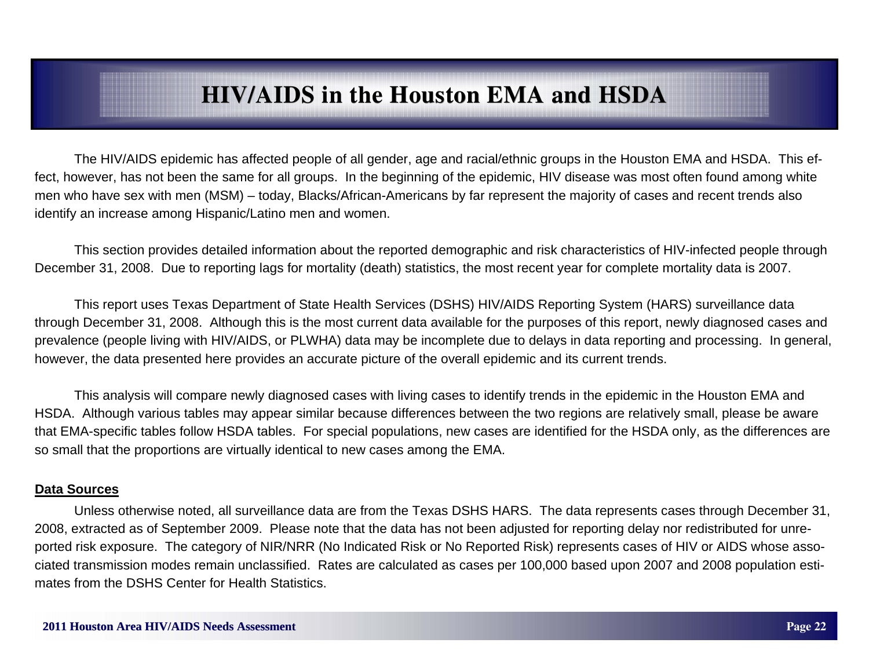The HIV/AIDS epidemic has affected people of all gender, age and racial/ethnic groups in the Houston EMA and HSDA. This effect, however, has not been the same for all groups. In the beginning of the epidemic, HIV disease was most often found among white men who have sex with men (MSM) – today, Blacks/African-Americans by far represent the majority of cases and recent trends also identify an increase among Hispanic/Latino men and women.

 This section provides detailed information about the reported demographic and risk characteristics of HIV-infected people through December 31, 2008. Due to reporting lags for mortality (death) statistics, the most recent year for complete mortality data is 2007.

 This report uses Texas Department of State Health Services (DSHS) HIV/AIDS Reporting System (HARS) surveillance data through December 31, 2008. Although this is the most current data available for the purposes of this report, newly diagnosed cases and prevalence (people living with HIV/AIDS, or PLWHA) data may be incomplete due to delays in data reporting and processing. In general, however, the data presented here provides an accurate picture of the overall epidemic and its current trends.

 This analysis will compare newly diagnosed cases with living cases to identify trends in the epidemic in the Houston EMA and HSDA. Although various tables may appear similar because differences between the two regions are relatively small, please be aware that EMA-specific tables follow HSDA tables. For special populations, new cases are identified for the HSDA only, as the differences are so small that the proportions are virtually identical to new cases among the EMA.

#### **Data Sources**

 Unless otherwise noted, all surveillance data are from the Texas DSHS HARS. The data represents cases through December 31, 2008, extracted as of September 2009. Please note that the data has not been adjusted for reporting delay nor redistributed for unreported risk exposure. The category of NIR/NRR (No Indicated Risk or No Reported Risk) represents cases of HIV or AIDS whose associated transmission modes remain unclassified. Rates are calculated as cases per 100,000 based upon 2007 and 2008 population estimates from the DSHS Center for Health Statistics.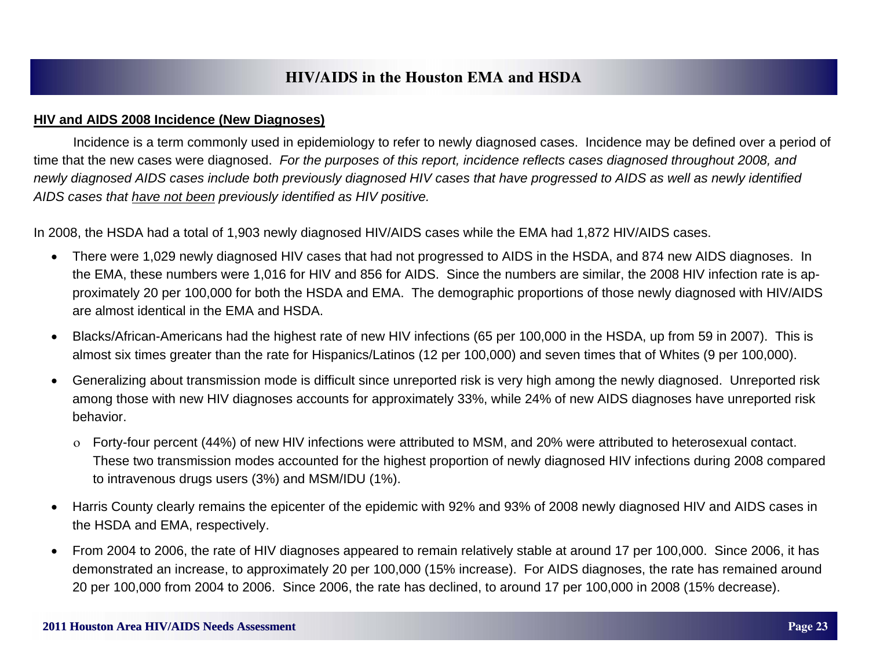#### **HIV and AIDS 2008 Incidence (New Diagnoses)**

 Incidence is a term commonly used in epidemiology to refer to newly diagnosed cases. Incidence may be defined over a period of time that the new cases were diagnosed. *For the purposes of this report, incidence reflects cases diagnosed throughout 2008, and newly diagnosed AIDS cases include both previously diagnosed HIV cases that have progressed to AIDS as well as newly identified AIDS cases that have not been previously identified as HIV positive.*

In 2008, the HSDA had a total of 1,903 newly diagnosed HIV/AIDS cases while the EMA had 1,872 HIV/AIDS cases.

- There were 1,029 newly diagnosed HIV cases that had not progressed to AIDS in the HSDA, and 874 new AIDS diagnoses. In the EMA, these numbers were 1,016 for HIV and 856 for AIDS. Since the numbers are similar, the 2008 HIV infection rate is approximately 20 per 100,000 for both the HSDA and EMA. The demographic proportions of those newly diagnosed with HIV/AIDS are almost identical in the EMA and HSDA.
- $\bullet$  Blacks/African-Americans had the highest rate of new HIV infections (65 per 100,000 in the HSDA, up from 59 in 2007). This is almost six times greater than the rate for Hispanics/Latinos (12 per 100,000) and seven times that of Whites (9 per 100,000).
- $\bullet$  Generalizing about transmission mode is difficult since unreported risk is very high among the newly diagnosed. Unreported risk among those with new HIV diagnoses accounts for approximately 33%, while 24% of new AIDS diagnoses have unreported risk behavior.
	- Forty-four percent (44%) of new HIV infections were attributed to MSM, and 20% were attributed to heterosexual contact. These two transmission modes accounted for the highest proportion of newly diagnosed HIV infections during 2008 compared to intravenous drugs users (3%) and MSM/IDU (1%).
- $\bullet$  Harris County clearly remains the epicenter of the epidemic with 92% and 93% of 2008 newly diagnosed HIV and AIDS cases in the HSDA and EMA, respectively.
- $\bullet$  From 2004 to 2006, the rate of HIV diagnoses appeared to remain relatively stable at around 17 per 100,000. Since 2006, it has demonstrated an increase, to approximately 20 per 100,000 (15% increase). For AIDS diagnoses, the rate has remained around 20 per 100,000 from 2004 to 2006. Since 2006, the rate has declined, to around 17 per 100,000 in 2008 (15% decrease).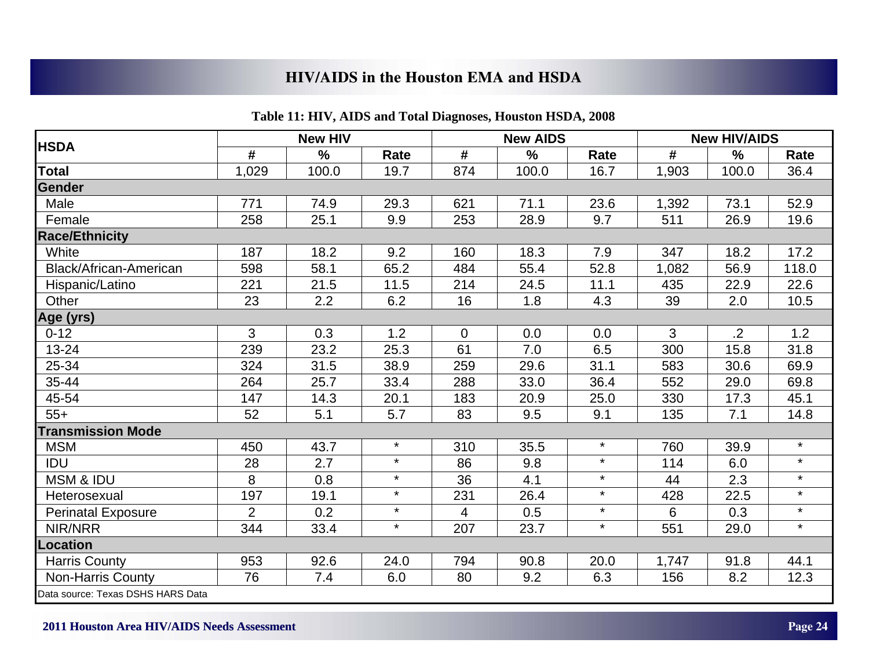|                                   |                | <b>New HIV</b> |         |                | <b>New AIDS</b> |         |       | <b>New HIV/AIDS</b> |         |
|-----------------------------------|----------------|----------------|---------|----------------|-----------------|---------|-------|---------------------|---------|
| <b>HSDA</b>                       | #              | $\frac{9}{6}$  | Rate    | #              | $\frac{0}{0}$   | Rate    | #     | %                   | Rate    |
| <b>Total</b>                      | 1,029          | 100.0          | 19.7    | 874            | 100.0           | 16.7    | 1,903 | 100.0               | 36.4    |
| Gender                            |                |                |         |                |                 |         |       |                     |         |
| Male                              | 771            | 74.9           | 29.3    | 621            | 71.1            | 23.6    | 1,392 | 73.1                | 52.9    |
| Female                            | 258            | 25.1           | 9.9     | 253            | 28.9            | 9.7     | 511   | 26.9                | 19.6    |
| <b>Race/Ethnicity</b>             |                |                |         |                |                 |         |       |                     |         |
| White                             | 187            | 18.2           | 9.2     | 160            | 18.3            | 7.9     | 347   | 18.2                | 17.2    |
| Black/African-American            | 598            | 58.1           | 65.2    | 484            | 55.4            | 52.8    | 1,082 | 56.9                | 118.0   |
| Hispanic/Latino                   | 221            | 21.5           | 11.5    | 214            | 24.5            | 11.1    | 435   | 22.9                | 22.6    |
| Other                             | 23             | 2.2            | 6.2     | 16             | 1.8             | 4.3     | 39    | 2.0                 | 10.5    |
| Age (yrs)                         |                |                |         |                |                 |         |       |                     |         |
| $0 - 12$                          | 3              | 0.3            | 1.2     | $\overline{0}$ | 0.0             | 0.0     | 3     | $\overline{.2}$     | 1.2     |
| $13 - 24$                         | 239            | 23.2           | 25.3    | 61             | 7.0             | 6.5     | 300   | 15.8                | 31.8    |
| 25-34                             | 324            | 31.5           | 38.9    | 259            | 29.6            | 31.1    | 583   | 30.6                | 69.9    |
| 35-44                             | 264            | 25.7           | 33.4    | 288            | 33.0            | 36.4    | 552   | 29.0                | 69.8    |
| 45-54                             | 147            | 14.3           | 20.1    | 183            | 20.9            | 25.0    | 330   | 17.3                | 45.1    |
| $55+$                             | 52             | 5.1            | 5.7     | 83             | 9.5             | 9.1     | 135   | 7.1                 | 14.8    |
| <b>Transmission Mode</b>          |                |                |         |                |                 |         |       |                     |         |
| <b>MSM</b>                        | 450            | 43.7           | $\star$ | 310            | 35.5            | $\star$ | 760   | 39.9                | $\star$ |
| IDU                               | 28             | 2.7            | $\star$ | 86             | 9.8             | $\star$ | 114   | 6.0                 | $\star$ |
| <b>MSM &amp; IDU</b>              | 8              | 0.8            | $\star$ | 36             | 4.1             | $\star$ | 44    | 2.3                 | $\star$ |
| Heterosexual                      | 197            | 19.1           | $\star$ | 231            | 26.4            | $\star$ | 428   | 22.5                | $\star$ |
| <b>Perinatal Exposure</b>         | $\overline{2}$ | 0.2            | $\star$ | 4              | 0.5             | $\star$ | 6     | 0.3                 | $\star$ |
| NIR/NRR                           | 344            | 33.4           | $\star$ | 207            | 23.7            | $\star$ | 551   | 29.0                | $\star$ |
| <b>Location</b>                   |                |                |         |                |                 |         |       |                     |         |
| <b>Harris County</b>              | 953            | 92.6           | 24.0    | 794            | 90.8            | 20.0    | 1,747 | 91.8                | 44.1    |
| Non-Harris County                 | 76             | 7.4            | 6.0     | 80             | 9.2             | 6.3     | 156   | 8.2                 | 12.3    |
| Data source: Texas DSHS HARS Data |                |                |         |                |                 |         |       |                     |         |

#### **Table 11: HIV, AIDS and Total Diagnoses, Houston HSDA, 2008**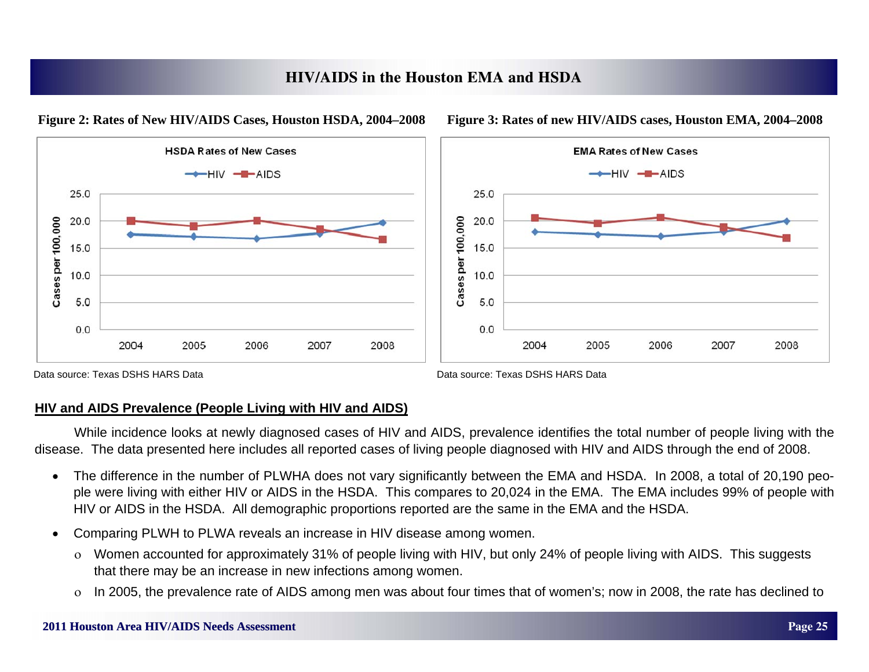**HIV/AIDS in the Houston EMA and HSDA**



#### **Figure 2: Rates of New HIV/AIDS Cases, Houston HSDA, 2004–2008**

Data source: Texas DSHS HARS Data

Data source: Texas DSHS HARS Data

## **HIV and AIDS Prevalence (People Living with HIV and AIDS)**

 While incidence looks at newly diagnosed cases of HIV and AIDS, prevalence identifies the total number of people living with the disease. The data presented here includes all reported cases of living people diagnosed with HIV and AIDS through the end of 2008.

- $\bullet$  The difference in the number of PLWHA does not vary significantly between the EMA and HSDA. In 2008, a total of 20,190 people were living with either HIV or AIDS in the HSDA. This compares to 20,024 in the EMA. The EMA includes 99% of people with HIV or AIDS in the HSDA. All demographic proportions reported are the same in the EMA and the HSDA.
- $\bullet$  Comparing PLWH to PLWA reveals an increase in HIV disease among women.
	- Women accounted for approximately 31% of people living with HIV, but only 24% of people living with AIDS. This suggests that there may be an increase in new infections among women.
	- $\overline{O}$ In 2005, the prevalence rate of AIDS among men was about four times that of women's; now in 2008, the rate has declined to

2007

2008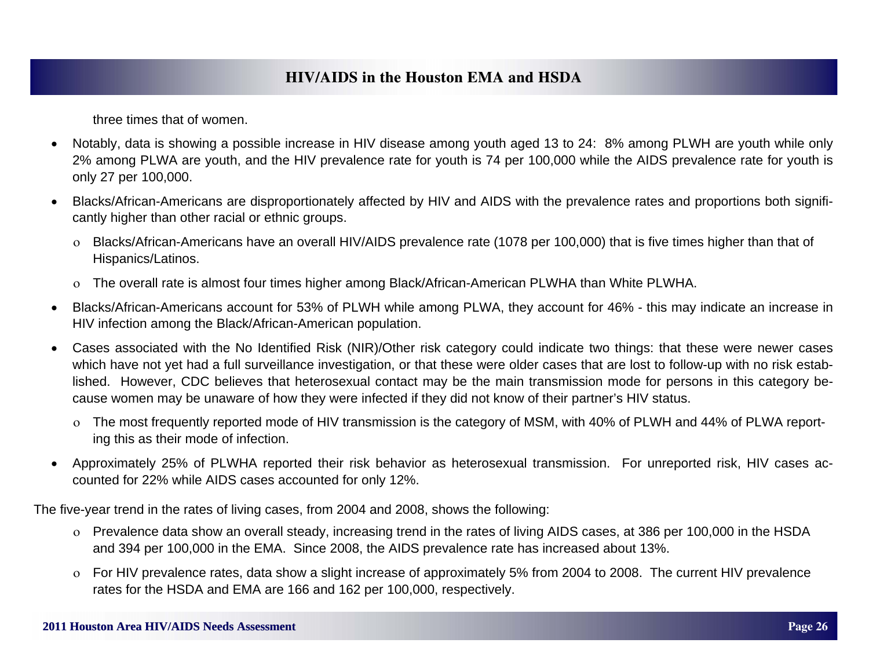three times that of women.

- $\bullet$  Notably, data is showing a possible increase in HIV disease among youth aged 13 to 24: 8% among PLWH are youth while only 2% among PLWA are youth, and the HIV prevalence rate for youth is 74 per 100,000 while the AIDS prevalence rate for youth is only 27 per 100,000.
- $\bullet$  Blacks/African-Americans are disproportionately affected by HIV and AIDS with the prevalence rates and proportions both significantly higher than other racial or ethnic groups.
	- Blacks/African-Americans have an overall HIV/AIDS prevalence rate (1078 per 100,000) that is five times higher than that of Hispanics/Latinos.
	- The overall rate is almost four times higher among Black/African-American PLWHA than White PLWHA.
- $\bullet$  Blacks/African-Americans account for 53% of PLWH while among PLWA, they account for 46% - this may indicate an increase in HIV infection among the Black/African-American population.
- $\bullet$  Cases associated with the No Identified Risk (NIR)/Other risk category could indicate two things: that these were newer cases which have not yet had a full surveillance investigation, or that these were older cases that are lost to follow-up with no risk established. However, CDC believes that heterosexual contact may be the main transmission mode for persons in this category because women may be unaware of how they were infected if they did not know of their partner's HIV status.
	- The most frequently reported mode of HIV transmission is the category of MSM, with 40% of PLWH and 44% of PLWA reporting this as their mode of infection.
- $\bullet$  Approximately 25% of PLWHA reported their risk behavior as heterosexual transmission. For unreported risk, HIV cases accounted for 22% while AIDS cases accounted for only 12%.

The five-year trend in the rates of living cases, from 2004 and 2008, shows the following:

- Prevalence data show an overall steady, increasing trend in the rates of living AIDS cases, at 386 per 100,000 in the HSDA and 394 per 100,000 in the EMA. Since 2008, the AIDS prevalence rate has increased about 13%.
- For HIV prevalence rates, data show a slight increase of approximately 5% from 2004 to 2008. The current HIV prevalence rates for the HSDA and EMA are 166 and 162 per 100,000, respectively.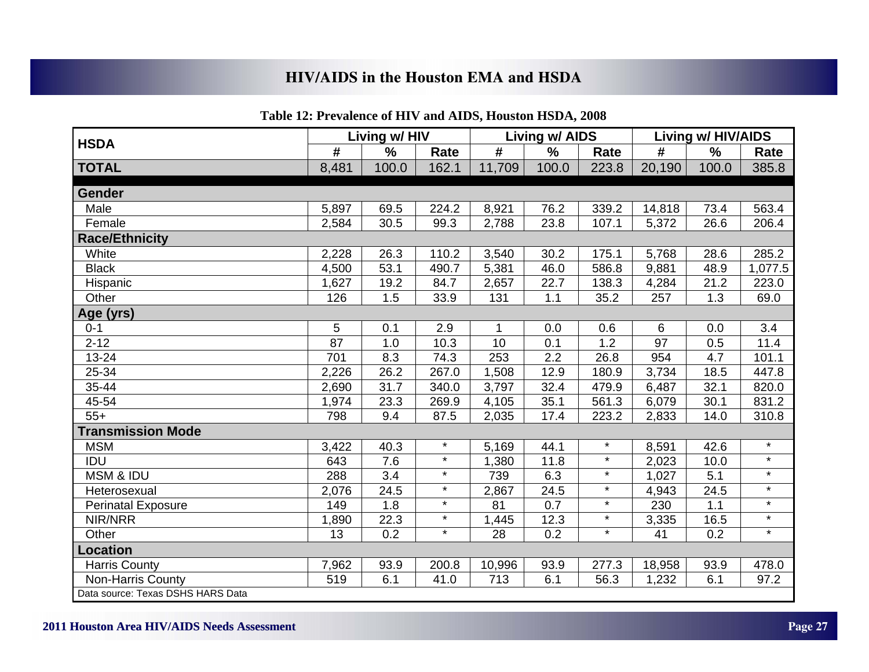|                                   |       | Living w/ HIV     |         |        | <b>Living w/ AIDS</b> |         |        | <b>Living w/ HIV/AIDS</b> |         |
|-----------------------------------|-------|-------------------|---------|--------|-----------------------|---------|--------|---------------------------|---------|
| <b>HSDA</b>                       | #     | %                 | Rate    | #      | $\%$                  | Rate    | #      | $\%$                      | Rate    |
| <b>TOTAL</b>                      | 8,481 | 100.0             | 162.1   | 11,709 | 100.0                 | 223.8   | 20,190 | 100.0                     | 385.8   |
| Gender                            |       |                   |         |        |                       |         |        |                           |         |
| Male                              | 5,897 | 69.5              | 224.2   | 8,921  | 76.2                  | 339.2   | 14,818 | 73.4                      | 563.4   |
| Female                            | 2,584 | 30.5              | 99.3    | 2,788  | 23.8                  | 107.1   | 5,372  | 26.6                      | 206.4   |
| <b>Race/Ethnicity</b>             |       |                   |         |        |                       |         |        |                           |         |
| White                             | 2,228 | 26.3              | 110.2   | 3,540  | 30.2                  | 175.1   | 5,768  | 28.6                      | 285.2   |
| <b>Black</b>                      | 4,500 | 53.1              | 490.7   | 5,381  | 46.0                  | 586.8   | 9,881  | 48.9                      | 1,077.5 |
| Hispanic                          | 1,627 | 19.2              | 84.7    | 2,657  | 22.7                  | 138.3   | 4,284  | 21.2                      | 223.0   |
| Other                             | 126   | 1.5               | 33.9    | 131    | 1.1                   | 35.2    | 257    | 1.3                       | 69.0    |
| Age (yrs)                         |       |                   |         |        |                       |         |        |                           |         |
| $0 - 1$                           | 5     | 0.1               | 2.9     | 1      | 0.0                   | 0.6     | 6      | 0.0                       | 3.4     |
| $2 - 12$                          | 87    | 1.0               | 10.3    | 10     | 0.1                   | 1.2     | 97     | 0.5                       | 11.4    |
| $13 - 24$                         | 701   | 8.3               | 74.3    | 253    | 2.2                   | 26.8    | 954    | 4.7                       | 101.1   |
| 25-34                             | 2,226 | $26.\overline{2}$ | 267.0   | 1,508  | 12.9                  | 180.9   | 3,734  | 18.5                      | 447.8   |
| 35-44                             | 2,690 | 31.7              | 340.0   | 3,797  | 32.4                  | 479.9   | 6,487  | 32.1                      | 820.0   |
| 45-54                             | 1,974 | 23.3              | 269.9   | 4,105  | 35.1                  | 561.3   | 6,079  | 30.1                      | 831.2   |
| $55+$                             | 798   | 9.4               | 87.5    | 2,035  | 17.4                  | 223.2   | 2,833  | 14.0                      | 310.8   |
| <b>Transmission Mode</b>          |       |                   |         |        |                       |         |        |                           |         |
| <b>MSM</b>                        | 3,422 | 40.3              | $\star$ | 5,169  | 44.1                  | $\star$ | 8,591  | 42.6                      | $\star$ |
| IDU                               | 643   | 7.6               | $\star$ | 1,380  | 11.8                  | $\star$ | 2,023  | 10.0                      | $\star$ |
| <b>MSM &amp; IDU</b>              | 288   | 3.4               | $\star$ | 739    | 6.3                   | $\star$ | 1,027  | 5.1                       | $\star$ |
| Heterosexual                      | 2,076 | 24.5              | $\star$ | 2,867  | 24.5                  | $\star$ | 4,943  | 24.5                      | $\star$ |
| <b>Perinatal Exposure</b>         | 149   | 1.8               | $\star$ | 81     | 0.7                   | $\star$ | 230    | 1.1                       | $\star$ |
| NIR/NRR                           | 1,890 | 22.3              | $\star$ | ,445   | 12.3                  | $\star$ | 3,335  | 16.5                      | $\star$ |
| Other                             | 13    | 0.2               | $\star$ | 28     | 0.2                   | $\star$ | 41     | 0.2                       | $\star$ |
| <b>Location</b>                   |       |                   |         |        |                       |         |        |                           |         |
| <b>Harris County</b>              | 7,962 | 93.9              | 200.8   | 10,996 | 93.9                  | 277.3   | 18,958 | 93.9                      | 478.0   |
| Non-Harris County                 | 519   | 6.1               | 41.0    | 713    | 6.1                   | 56.3    | 1,232  | 6.1                       | 97.2    |
| Data source: Texas DSHS HARS Data |       |                   |         |        |                       |         |        |                           |         |

#### **Table 12: Prevalence of HIV and AIDS, Houston HSDA, 2008**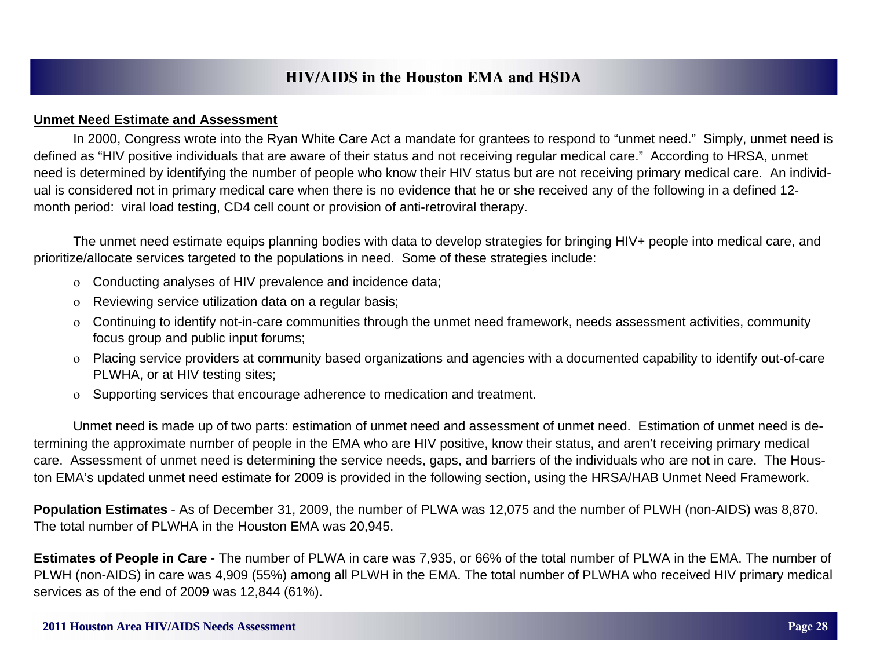#### **Unmet Need Estimate and Assessment**

 In 2000, Congress wrote into the Ryan White Care Act a mandate for grantees to respond to "unmet need." Simply, unmet need is defined as "HIV positive individuals that are aware of their status and not receiving regular medical care." According to HRSA, unmet need is determined by identifying the number of people who know their HIV status but are not receiving primary medical care. An individual is considered not in primary medical care when there is no evidence that he or she received any of the following in a defined 12 month period: viral load testing, CD4 cell count or provision of anti-retroviral therapy.

 The unmet need estimate equips planning bodies with data to develop strategies for bringing HIV+ people into medical care, and prioritize/allocate services targeted to the populations in need. Some of these strategies include:

- Conducting analyses of HIV prevalence and incidence data;
- $\overline{O}$ Reviewing service utilization data on a regular basis;
- $\rm o$  Continuing to identify not-in-care communities through the unmet need framework, needs assessment activities, community focus group and public input forums;
- Placing service providers at community based organizations and agencies with a documented capability to identify out-of-care PLWHA, or at HIV testing sites;
- $\rm o$  Supporting services that encourage adherence to medication and treatment.

 Unmet need is made up of two parts: estimation of unmet need and assessment of unmet need. Estimation of unmet need is determining the approximate number of people in the EMA who are HIV positive, know their status, and aren't receiving primary medical care. Assessment of unmet need is determining the service needs, gaps, and barriers of the individuals who are not in care. The Houston EMA's updated unmet need estimate for 2009 is provided in the following section, using the HRSA/HAB Unmet Need Framework.

**Population Estimates** - As of December 31, 2009, the number of PLWA was 12,075 and the number of PLWH (non-AIDS) was 8,870. The total number of PLWHA in the Houston EMA was 20,945.

**Estimates of People in Care** - The number of PLWA in care was 7,935, or 66% of the total number of PLWA in the EMA. The number of PLWH (non-AIDS) in care was 4,909 (55%) among all PLWH in the EMA. The total number of PLWHA who received HIV primary medical services as of the end of 2009 was 12,844 (61%).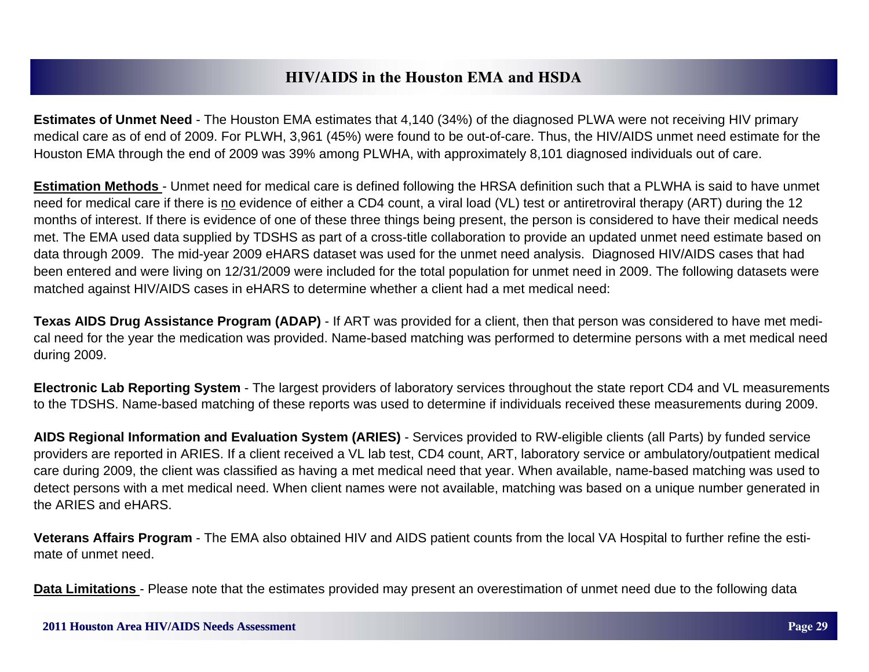**Estimates of Unmet Need** - The Houston EMA estimates that 4,140 (34%) of the diagnosed PLWA were not receiving HIV primary medical care as of end of 2009. For PLWH, 3,961 (45%) were found to be out-of-care. Thus, the HIV/AIDS unmet need estimate for the Houston EMA through the end of 2009 was 39% among PLWHA, with approximately 8,101 diagnosed individuals out of care.

**Estimation Methods** - Unmet need for medical care is defined following the HRSA definition such that a PLWHA is said to have unmet need for medical care if there is no evidence of either a CD4 count, a viral load (VL) test or antiretroviral therapy (ART) during the 12 months of interest. If there is evidence of one of these three things being present, the person is considered to have their medical needs met. The EMA used data supplied by TDSHS as part of a cross-title collaboration to provide an updated unmet need estimate based on data through 2009. The mid-year 2009 eHARS dataset was used for the unmet need analysis. Diagnosed HIV/AIDS cases that had been entered and were living on 12/31/2009 were included for the total population for unmet need in 2009. The following datasets were matched against HIV/AIDS cases in eHARS to determine whether a client had a met medical need:

**Texas AIDS Drug Assistance Program (ADAP)** - If ART was provided for a client, then that person was considered to have met medical need for the year the medication was provided. Name-based matching was performed to determine persons with a met medical need during 2009.

**Electronic Lab Reporting System** - The largest providers of laboratory services throughout the state report CD4 and VL measurements to the TDSHS. Name-based matching of these reports was used to determine if individuals received these measurements during 2009.

**AIDS Regional Information and Evaluation System (ARIES)** - Services provided to RW-eligible clients (all Parts) by funded service providers are reported in ARIES. If a client received a VL lab test, CD4 count, ART, laboratory service or ambulatory/outpatient medical care during 2009, the client was classified as having a met medical need that year. When available, name-based matching was used to detect persons with a met medical need. When client names were not available, matching was based on a unique number generated in the ARIES and eHARS.

**Veterans Affairs Program** - The EMA also obtained HIV and AIDS patient counts from the local VA Hospital to further refine the estimate of unmet need.

**Data Limitations** - Please note that the estimates provided may present an overestimation of unmet need due to the following data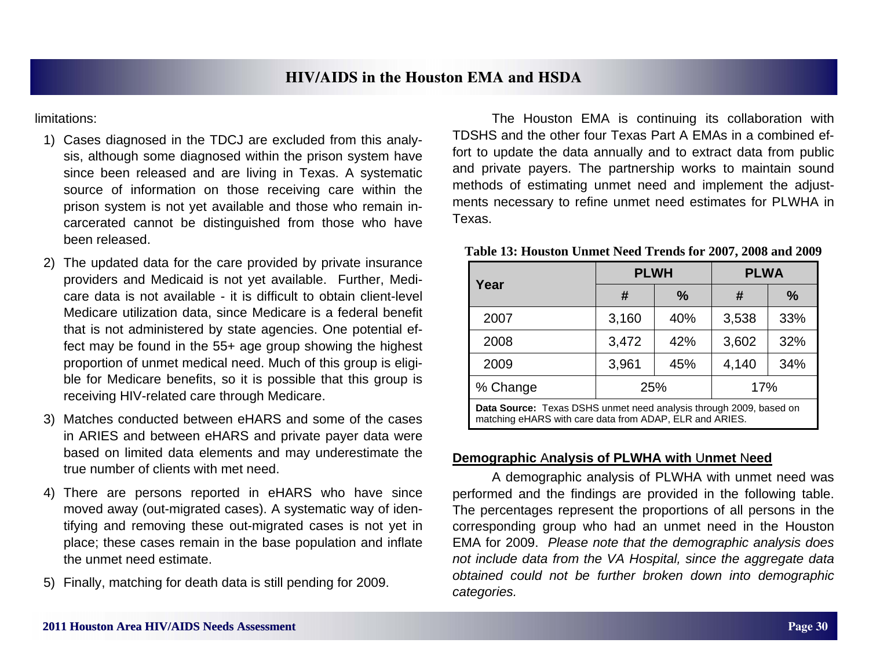limitations:

- 1) Cases diagnosed in the TDCJ are excluded from this analysis, although some diagnosed within the prison system have since been released and are living in Texas. A systematic source of information on those receiving care within the prison system is not yet available and those who remain incarcerated cannot be distinguished from those who have been released.
- 2) The updated data for the care provided by private insurance providers and Medicaid is not yet available. Further, Medicare data is not available - it is difficult to obtain client-level Medicare utilization data, since Medicare is a federal benefit that is not administered by state agencies. One potential effect may be found in the 55+ age group showing the highest proportion of unmet medical need. Much of this group is eligible for Medicare benefits, so it is possible that this group is receiving HIV-related care through Medicare.
- 3) Matches conducted between eHARS and some of the cases in ARIES and between eHARS and private payer data were based on limited data elements and may underestimate the true number of clients with met need.
- 4) There are persons reported in eHARS who have since moved away (out-migrated cases). A systematic way of identifying and removing these out-migrated cases is not yet in place; these cases remain in the base population and inflate the unmet need estimate.
- 5) Finally, matching for death data is still pending for 2009.

 The Houston EMA is continuing its collaboration with TDSHS and the other four Texas Part A EMAs in a combined effort to update the data annually and to extract data from public and private payers. The partnership works to maintain sound methods of estimating unmet need and implement the adjustments necessary to refine unmet need estimates for PLWHA in Texas.

|                                                                                                                               | <b>PLWH</b> |               | <b>PLWA</b> |               |  |  |  |
|-------------------------------------------------------------------------------------------------------------------------------|-------------|---------------|-------------|---------------|--|--|--|
| Year                                                                                                                          | #           | $\frac{0}{0}$ | #           | $\frac{0}{0}$ |  |  |  |
| 2007                                                                                                                          | 3,160       | 40%           | 3,538       | 33%           |  |  |  |
| 2008                                                                                                                          | 3,472       | 42%           | 3,602       | 32%           |  |  |  |
| 2009                                                                                                                          | 3,961       | 45%           | 4,140       | 34%           |  |  |  |
| % Change                                                                                                                      | 25%         |               | 17%         |               |  |  |  |
| Data Source: Texas DSHS unmet need analysis through 2009, based on<br>matching eHARS with care data from ADAP, ELR and ARIES. |             |               |             |               |  |  |  |

#### **Demographic**  A**nalysis of PLWHA with**  U**nmet**  N**eed**

 A demographic analysis of PLWHA with unmet need was performed and the findings are provided in the following table. The percentages represent the proportions of all persons in the corresponding group who had an unmet need in the Houston EMA for 2009. *Please note that the demographic analysis does not include data from the VA Hospital, since the aggregate data obtained could not be further broken down into demographic categories.*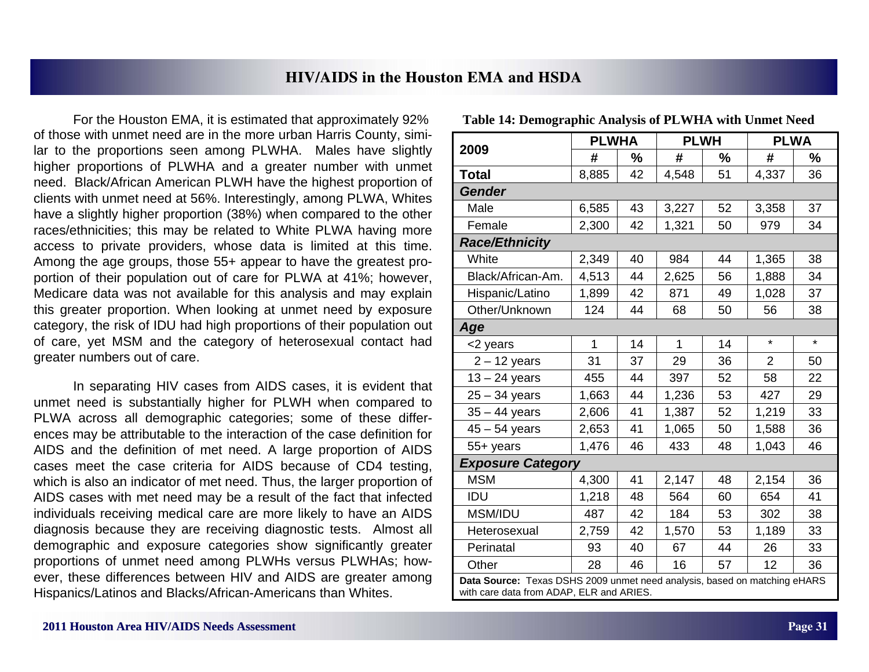For the Houston EMA, it is estimated that approximately 92% of those with unmet need are in the more urban Harris County, similar to the proportions seen among PLWHA. Males have slightly higher proportions of PLWHA and a greater number with unmet need. Black/African American PLWH have the highest proportion of clients with unmet need at 56%. Interestingly, among PLWA, Whites have a slightly higher proportion (38%) when compared to the other races/ethnicities; this may be related to White PLWA having more access to private providers, whose data is limited at this time. Among the age groups, those 55+ appear to have the greatest proportion of their population out of care for PLWA at 41%; however, Medicare data was not available for this analysis and may explain this greater proportion. When looking at unmet need by exposure category, the risk of IDU had high proportions of their population out of care, yet MSM and the category of heterosexual contact had greater numbers out of care.

 In separating HIV cases from AIDS cases, it is evident that unmet need is substantially higher for PLWH when compared to PLWA across all demographic categories; some of these differences may be attributable to the interaction of the case definition for AIDS and the definition of met need. A large proportion of AIDS cases meet the case criteria for AIDS because of CD4 testing, which is also an indicator of met need. Thus, the larger proportion of AIDS cases with met need may be a result of the fact that infected individuals receiving medical care are more likely to have an AIDS diagnosis because they are receiving diagnostic tests. Almost all demographic and exposure categories show significantly greater proportions of unmet need among PLWHs versus PLWHAs; however, these differences between HIV and AIDS are greater among Hispanics/Latinos and Blacks/African-Americans than Whites.

|                                                                                                                       | <b>PLWHA</b> |    | <b>PLWH</b> |               | <b>PLWA</b> |               |  |  |  |
|-----------------------------------------------------------------------------------------------------------------------|--------------|----|-------------|---------------|-------------|---------------|--|--|--|
| 2009                                                                                                                  | #            | %  | #           | $\frac{0}{0}$ | #           | $\frac{9}{6}$ |  |  |  |
| <b>Total</b>                                                                                                          | 8,885        | 42 | 4,548       | 51            | 4,337       | 36            |  |  |  |
| <b>Gender</b>                                                                                                         |              |    |             |               |             |               |  |  |  |
| Male                                                                                                                  | 6,585        | 43 | 3,227       | 52            | 3,358       | 37            |  |  |  |
| Female                                                                                                                | 2,300        | 42 | 1,321       | 50            | 979         | 34            |  |  |  |
| <b>Race/Ethnicity</b>                                                                                                 |              |    |             |               |             |               |  |  |  |
| White                                                                                                                 | 2,349        | 40 | 984         | 44            | 1,365       | 38            |  |  |  |
| Black/African-Am.                                                                                                     | 4,513        | 44 | 2,625       | 56            | 1,888       | 34            |  |  |  |
| Hispanic/Latino                                                                                                       | 1,899        | 42 | 871         | 49            | 1,028       | 37            |  |  |  |
| Other/Unknown                                                                                                         | 124          | 44 | 68          | 50            | 56          | 38            |  |  |  |
| Age                                                                                                                   |              |    |             |               |             |               |  |  |  |
| <2 years                                                                                                              | 1            | 14 | 1           | 14            | $\star$     | $\star$       |  |  |  |
| $2 - 12$ years                                                                                                        | 31           | 37 | 29          | 36            | 2           | 50            |  |  |  |
| $13 - 24$ years                                                                                                       | 455          | 44 | 397         | 52            | 58          | 22            |  |  |  |
| $25 - 34$ years                                                                                                       | 1,663        | 44 | 1,236       | 53            | 427         | 29            |  |  |  |
| $35 - 44$ years                                                                                                       | 2,606        | 41 | 1,387       | 52            | 1,219       | 33            |  |  |  |
| $45 - 54$ years                                                                                                       | 2,653        | 41 | 1,065       | 50            | 1,588       | 36            |  |  |  |
| 55+ years                                                                                                             | 1,476        | 46 | 433         | 48            | 1,043       | 46            |  |  |  |
| <b>Exposure Category</b>                                                                                              |              |    |             |               |             |               |  |  |  |
| <b>MSM</b>                                                                                                            | 4,300        | 41 | 2,147       | 48            | 2,154       | 36            |  |  |  |
| IDU                                                                                                                   | 1,218        | 48 | 564         | 60            | 654         | 41            |  |  |  |
| MSM/IDU                                                                                                               | 487          | 42 | 184         | 53            | 302         | 38            |  |  |  |
| Heterosexual                                                                                                          | 2,759        | 42 | 1,570       | 53            | 1,189       | 33            |  |  |  |
| Perinatal                                                                                                             | 93           | 40 | 67          | 44            | 26          | 33            |  |  |  |
| Other                                                                                                                 | 28           | 46 | 16          | 57            | 12          | 36            |  |  |  |
| Data Source: Texas DSHS 2009 unmet need analysis, based on matching eHARS<br>with care data from ADAP, ELR and ARIES. |              |    |             |               |             |               |  |  |  |

| <b>Table 14: Demographic Analysis of PLWHA with Unmet Need</b> |  |  |  |  |  |  |  |  |  |  |  |  |  |
|----------------------------------------------------------------|--|--|--|--|--|--|--|--|--|--|--|--|--|
|----------------------------------------------------------------|--|--|--|--|--|--|--|--|--|--|--|--|--|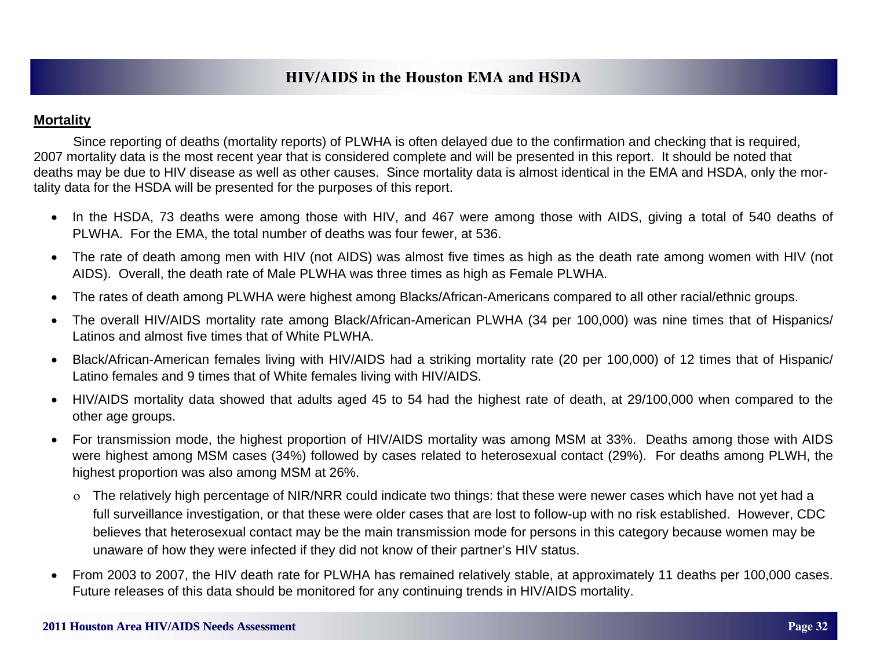#### **Mortality**

 Since reporting of deaths (mortality reports) of PLWHA is often delayed due to the confirmation and checking that is required, 2007 mortality data is the most recent year that is considered complete and will be presented in this report. It should be noted that deaths may be due to HIV disease as well as other causes. Since mortality data is almost identical in the EMA and HSDA, only the mortality data for the HSDA will be presented for the purposes of this report.

- In the HSDA, 73 deaths were among those with HIV, and 467 were among those with AIDS, giving a total of 540 deaths of PLWHA. For the EMA, the total number of deaths was four fewer, at 536.
- $\bullet$  The rate of death among men with HIV (not AIDS) was almost five times as high as the death rate among women with HIV (not AIDS). Overall, the death rate of Male PLWHA was three times as high as Female PLWHA.
- $\bullet$ The rates of death among PLWHA were highest among Blacks/African-Americans compared to all other racial/ethnic groups.
- $\bullet$  The overall HIV/AIDS mortality rate among Black/African-American PLWHA (34 per 100,000) was nine times that of Hispanics/ Latinos and almost five times that of White PLWHA.
- $\bullet$  Black/African-American females living with HIV/AIDS had a striking mortality rate (20 per 100,000) of 12 times that of Hispanic/ Latino females and 9 times that of White females living with HIV/AIDS.
- $\bullet$  HIV/AIDS mortality data showed that adults aged 45 to 54 had the highest rate of death, at 29/100,000 when compared to the other age groups.
- $\bullet$  For transmission mode, the highest proportion of HIV/AIDS mortality was among MSM at 33%. Deaths among those with AIDS were highest among MSM cases (34%) followed by cases related to heterosexual contact (29%). For deaths among PLWH, the highest proportion was also among MSM at 26%.
	- The relatively high percentage of NIR/NRR could indicate two things: that these were newer cases which have not yet had a full surveillance investigation, or that these were older cases that are lost to follow-up with no risk established. However, CDC believes that heterosexual contact may be the main transmission mode for persons in this category because women may be unaware of how they were infected if they did not know of their partner's HIV status.
- $\bullet$  From 2003 to 2007, the HIV death rate for PLWHA has remained relatively stable, at approximately 11 deaths per 100,000 cases. Future releases of this data should be monitored for any continuing trends in HIV/AIDS mortality.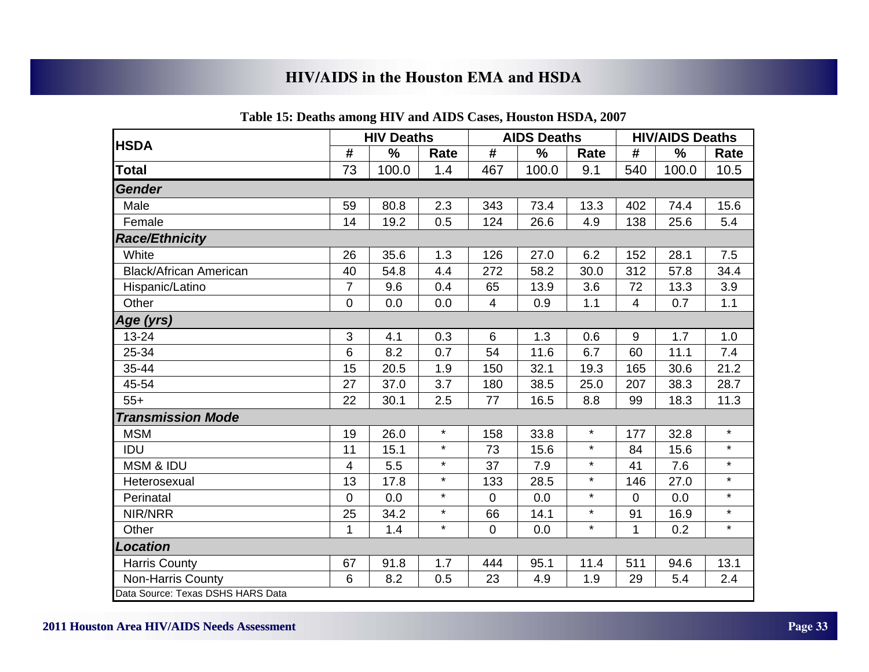|                                   |                | <b>HIV Deaths</b> |         |                | <b>AIDS Deaths</b> |         |                | <b>HIV/AIDS Deaths</b> |         |
|-----------------------------------|----------------|-------------------|---------|----------------|--------------------|---------|----------------|------------------------|---------|
| <b>HSDA</b>                       | $\#$           | $\%$              | Rate    | $\#$           | $\%$               | Rate    | #              | $\%$                   | Rate    |
| <b>Total</b>                      | 73             | 100.0             | 1.4     | 467            | 100.0              | 9.1     | 540            | 100.0                  | 10.5    |
| <b>Gender</b>                     |                |                   |         |                |                    |         |                |                        |         |
| Male                              | 59             | 80.8              | 2.3     | 343            | 73.4               | 13.3    | 402            | 74.4                   | 15.6    |
| Female                            | 14             | 19.2              | 0.5     | 124            | 26.6               | 4.9     | 138            | 25.6                   | 5.4     |
| <b>Race/Ethnicity</b>             |                |                   |         |                |                    |         |                |                        |         |
| White                             | 26             | 35.6              | 1.3     | 126            | 27.0               | 6.2     | 152            | 28.1                   | 7.5     |
| <b>Black/African American</b>     | 40             | 54.8              | 4.4     | 272            | 58.2               | 30.0    | 312            | 57.8                   | 34.4    |
| Hispanic/Latino                   | $\overline{7}$ | 9.6               | 0.4     | 65             | 13.9               | 3.6     | 72             | 13.3                   | 3.9     |
| Other                             | $\mathbf 0$    | 0.0               | 0.0     | $\overline{4}$ | 0.9                | 1.1     | $\overline{4}$ | 0.7                    | 1.1     |
| Age (yrs)                         |                |                   |         |                |                    |         |                |                        |         |
| 13-24                             | $\mathfrak{B}$ | 4.1               | 0.3     | $\,6\,$        | 1.3                | 0.6     | 9              | 1.7                    | 1.0     |
| 25-34                             | $6\phantom{1}$ | 8.2               | 0.7     | 54             | 11.6               | 6.7     | 60             | 11.1                   | 7.4     |
| 35-44                             | 15             | 20.5              | 1.9     | 150            | 32.1               | 19.3    | 165            | 30.6                   | 21.2    |
| 45-54                             | 27             | 37.0              | 3.7     | 180            | 38.5               | 25.0    | 207            | 38.3                   | 28.7    |
| $55+$                             | 22             | 30.1              | 2.5     | 77             | 16.5               | 8.8     | 99             | 18.3                   | 11.3    |
| <b>Transmission Mode</b>          |                |                   |         |                |                    |         |                |                        |         |
| <b>MSM</b>                        | 19             | 26.0              | $\star$ | 158            | 33.8               | $\star$ | 177            | 32.8                   | $\star$ |
| <b>IDU</b>                        | 11             | 15.1              | $\star$ | 73             | 15.6               | $\star$ | 84             | 15.6                   | $\star$ |
| <b>MSM &amp; IDU</b>              | $\overline{4}$ | 5.5               | $\star$ | 37             | 7.9                | $\star$ | 41             | 7.6                    | $\star$ |
| Heterosexual                      | 13             | 17.8              | $\star$ | 133            | 28.5               | $\star$ | 146            | 27.0                   | $\star$ |
| Perinatal                         | $\overline{0}$ | 0.0               | $\star$ | $\mathbf 0$    | 0.0                | $\star$ | $\mathbf 0$    | 0.0                    | $\star$ |
| NIR/NRR                           | 25             | 34.2              | $\star$ | 66             | 14.1               | $\star$ | 91             | 16.9                   | $\star$ |
| Other                             | $\mathbf{1}$   | 1.4               | $\star$ | $\mathbf 0$    | 0.0                | $\star$ | 1              | 0.2                    | $\star$ |
| <b>Location</b>                   |                |                   |         |                |                    |         |                |                        |         |
| <b>Harris County</b>              | 67             | 91.8              | 1.7     | 444            | 95.1               | 11.4    | 511            | 94.6                   | 13.1    |
| Non-Harris County                 | $6\phantom{1}$ | 8.2               | 0.5     | 23             | 4.9                | 1.9     | 29             | 5.4                    | 2.4     |
| Data Source: Texas DSHS HARS Data |                |                   |         |                |                    |         |                |                        |         |

#### **Table 15: Deaths among HIV and AIDS Cases, Houston HSDA, 2007**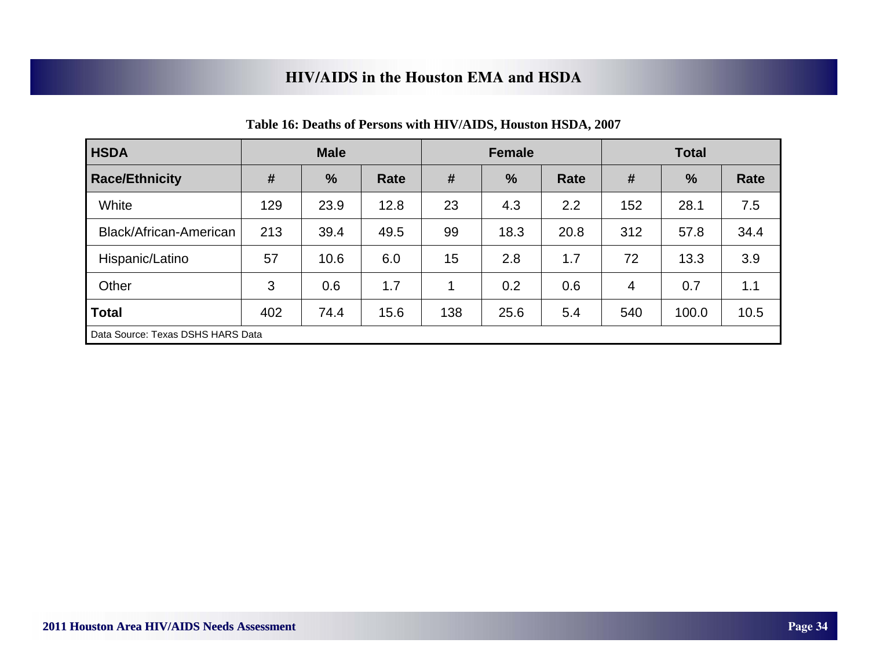| <b>HSDA</b>            | <b>Male</b>                       |               |      |     | <b>Female</b> |      | <b>Total</b> |               |             |  |
|------------------------|-----------------------------------|---------------|------|-----|---------------|------|--------------|---------------|-------------|--|
| <b>Race/Ethnicity</b>  | #                                 | $\frac{9}{6}$ | Rate | #   | $\frac{9}{6}$ | Rate | #            | $\frac{0}{0}$ | <b>Rate</b> |  |
| White                  | 129                               | 23.9          | 12.8 | 23  | 4.3           | 2.2  | 152          | 28.1          | 7.5         |  |
| Black/African-American | 213                               | 39.4          | 49.5 | 99  | 18.3          | 20.8 | 312          | 57.8          | 34.4        |  |
| Hispanic/Latino        | 57                                | 10.6          | 6.0  | 15  | 2.8           | 1.7  | 72           | 13.3          | 3.9         |  |
| Other                  | 3                                 | 0.6           | 1.7  | 1   | 0.2           | 0.6  | 4            | 0.7           | 1.1         |  |
| <b>Total</b>           | 402                               | 74.4          | 15.6 | 138 | 25.6          | 5.4  | 540          | 100.0         | 10.5        |  |
|                        | Data Source: Texas DSHS HARS Data |               |      |     |               |      |              |               |             |  |

|  | Table 16: Deaths of Persons with HIV/AIDS, Houston HSDA, 2007 |  |  |
|--|---------------------------------------------------------------|--|--|
|--|---------------------------------------------------------------|--|--|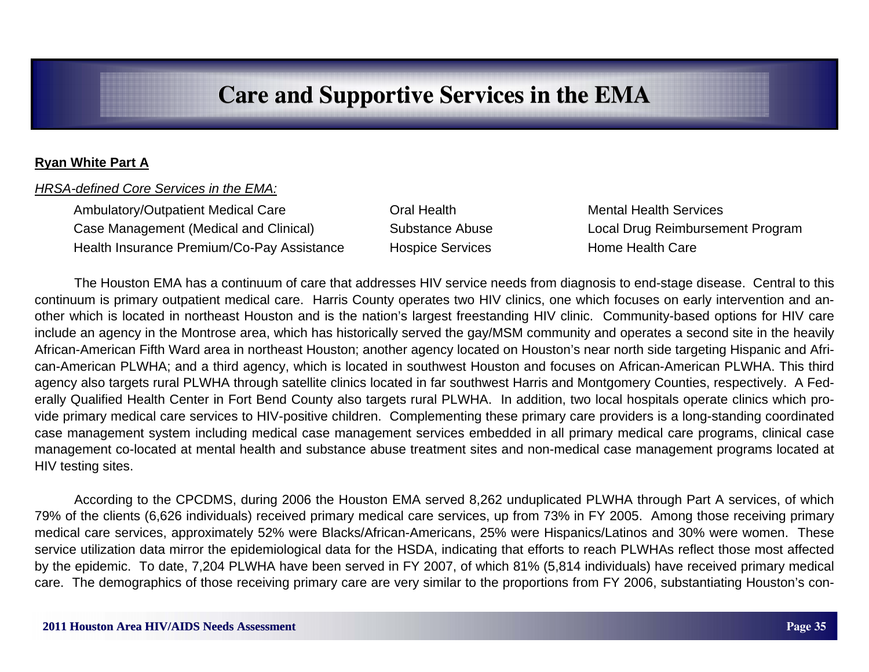#### **Ryan White Part A**

#### *HRSA-defined Core Services in the EMA:*

Ambulatory/Outpatient Medical Care **Care Care Coral Health Mental Health Services**  Case Management (Medical and Clinical) Substance Abuse Local Drug Reimbursement Program Health Insurance Premium/Co-Pay Assistance Hospice Services Home Home Health Care

 The Houston EMA has a continuum of care that addresses HIV service needs from diagnosis to end-stage disease. Central to this continuum is primary outpatient medical care. Harris County operates two HIV clinics, one which focuses on early intervention and another which is located in northeast Houston and is the nation's largest freestanding HIV clinic. Community-based options for HIV care include an agency in the Montrose area, which has historically served the gay/MSM community and operates a second site in the heavily African-American Fifth Ward area in northeast Houston; another agency located on Houston's near north side targeting Hispanic and African-American PLWHA; and a third agency, which is located in southwest Houston and focuses on African-American PLWHA. This third agency also targets rural PLWHA through satellite clinics located in far southwest Harris and Montgomery Counties, respectively. A Federally Qualified Health Center in Fort Bend County also targets rural PLWHA. In addition, two local hospitals operate clinics which provide primary medical care services to HIV-positive children. Complementing these primary care providers is a long-standing coordinated case management system including medical case management services embedded in all primary medical care programs, clinical case management co-located at mental health and substance abuse treatment sites and non-medical case management programs located at HIV testing sites.

 According to the CPCDMS, during 2006 the Houston EMA served 8,262 unduplicated PLWHA through Part A services, of which 79% of the clients (6,626 individuals) received primary medical care services, up from 73% in FY 2005. Among those receiving primary medical care services, approximately 52% were Blacks/African-Americans, 25% were Hispanics/Latinos and 30% were women. These service utilization data mirror the epidemiological data for the HSDA, indicating that efforts to reach PLWHAs reflect those most affected by the epidemic. To date, 7,204 PLWHA have been served in FY 2007, of which 81% (5,814 individuals) have received primary medical care. The demographics of those receiving primary care are very similar to the proportions from FY 2006, substantiating Houston's con-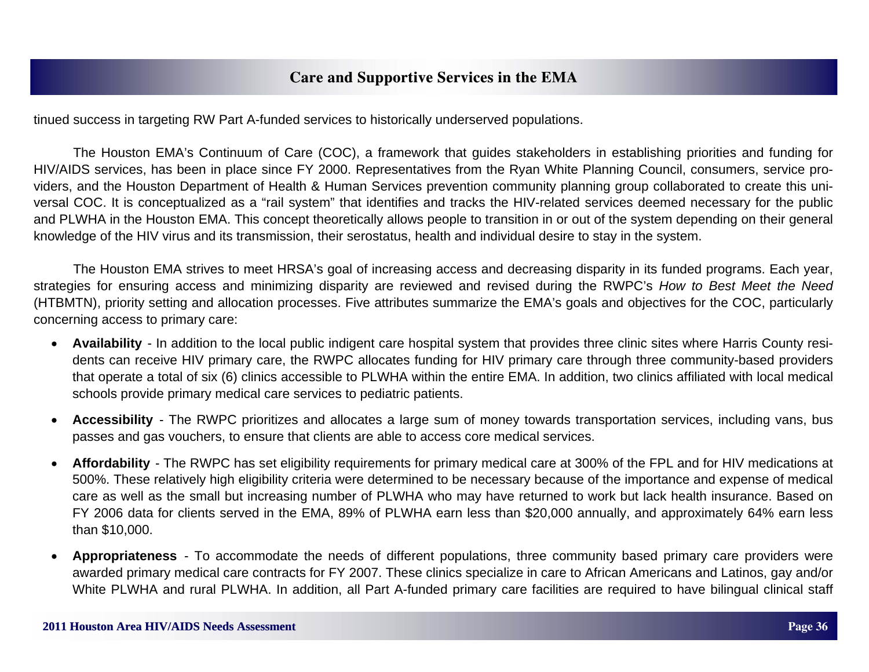tinued success in targeting RW Part A-funded services to historically underserved populations.

 The Houston EMA's Continuum of Care (COC), a framework that guides stakeholders in establishing priorities and funding for HIV/AIDS services, has been in place since FY 2000. Representatives from the Ryan White Planning Council, consumers, service providers, and the Houston Department of Health & Human Services prevention community planning group collaborated to create this universal COC. It is conceptualized as a "rail system" that identifies and tracks the HIV-related services deemed necessary for the public and PLWHA in the Houston EMA. This concept theoretically allows people to transition in or out of the system depending on their general knowledge of the HIV virus and its transmission, their serostatus, health and individual desire to stay in the system.

 The Houston EMA strives to meet HRSA's goal of increasing access and decreasing disparity in its funded programs. Each year, strategies for ensuring access and minimizing disparity are reviewed and revised during the RWPC's *How to Best Meet the Need*  (HTBMTN), priority setting and allocation processes. Five attributes summarize the EMA's goals and objectives for the COC, particularly concerning access to primary care:

- **Availability**  In addition to the local public indigent care hospital system that provides three clinic sites where Harris County residents can receive HIV primary care, the RWPC allocates funding for HIV primary care through three community-based providers that operate a total of six (6) clinics accessible to PLWHA within the entire EMA. In addition, two clinics affiliated with local medical schools provide primary medical care services to pediatric patients.
- $\bullet$  **Accessibility** - The RWPC prioritizes and allocates a large sum of money towards transportation services, including vans, bus passes and gas vouchers, to ensure that clients are able to access core medical services.
- $\bullet$  **Affordability** - The RWPC has set eligibility requirements for primary medical care at 300% of the FPL and for HIV medications at 500%. These relatively high eligibility criteria were determined to be necessary because of the importance and expense of medical care as well as the small but increasing number of PLWHA who may have returned to work but lack health insurance. Based on FY 2006 data for clients served in the EMA, 89% of PLWHA earn less than \$20,000 annually, and approximately 64% earn less than \$10,000.
- $\bullet$  **Appropriateness** - To accommodate the needs of different populations, three community based primary care providers were awarded primary medical care contracts for FY 2007. These clinics specialize in care to African Americans and Latinos, gay and/or White PLWHA and rural PLWHA. In addition, all Part A-funded primary care facilities are required to have bilingual clinical staff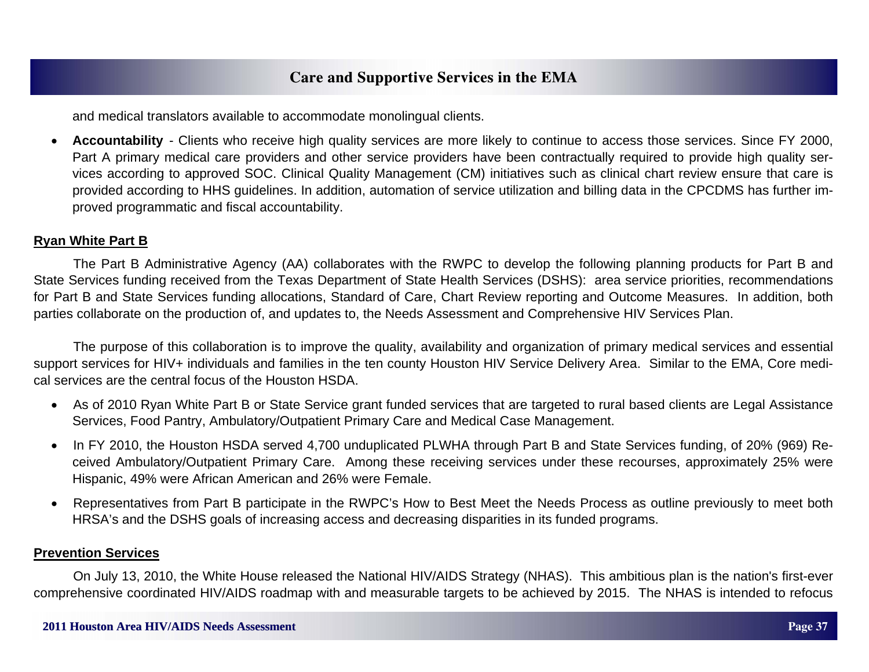and medical translators available to accommodate monolingual clients.

 $\bullet$  **Accountability** - Clients who receive high quality services are more likely to continue to access those services. Since FY 2000, Part A primary medical care providers and other service providers have been contractually required to provide high quality services according to approved SOC. Clinical Quality Management (CM) initiatives such as clinical chart review ensure that care is provided according to HHS guidelines. In addition, automation of service utilization and billing data in the CPCDMS has further improved programmatic and fiscal accountability.

#### **Ryan White Part B**

 The Part B Administrative Agency (AA) collaborates with the RWPC to develop the following planning products for Part B and State Services funding received from the Texas Department of State Health Services (DSHS): area service priorities, recommendations for Part B and State Services funding allocations, Standard of Care, Chart Review reporting and Outcome Measures. In addition, both parties collaborate on the production of, and updates to, the Needs Assessment and Comprehensive HIV Services Plan.

 The purpose of this collaboration is to improve the quality, availability and organization of primary medical services and essential support services for HIV+ individuals and families in the ten county Houston HIV Service Delivery Area. Similar to the EMA, Core medical services are the central focus of the Houston HSDA.

- As of 2010 Ryan White Part B or State Service grant funded services that are targeted to rural based clients are Legal Assistance Services, Food Pantry, Ambulatory/Outpatient Primary Care and Medical Case Management.
- In FY 2010, the Houston HSDA served 4,700 unduplicated PLWHA through Part B and State Services funding, of 20% (969) Received Ambulatory/Outpatient Primary Care. Among these receiving services under these recourses, approximately 25% were Hispanic, 49% were African American and 26% were Female.
- Representatives from Part B participate in the RWPC's How to Best Meet the Needs Process as outline previously to meet both HRSA's and the DSHS goals of increasing access and decreasing disparities in its funded programs.

#### **Prevention Services**

 On July 13, 2010, the White House released the National HIV/AIDS Strategy (NHAS). This ambitious plan is the nation's first-ever comprehensive coordinated HIV/AIDS roadmap with and measurable targets to be achieved by 2015. The NHAS is intended to refocus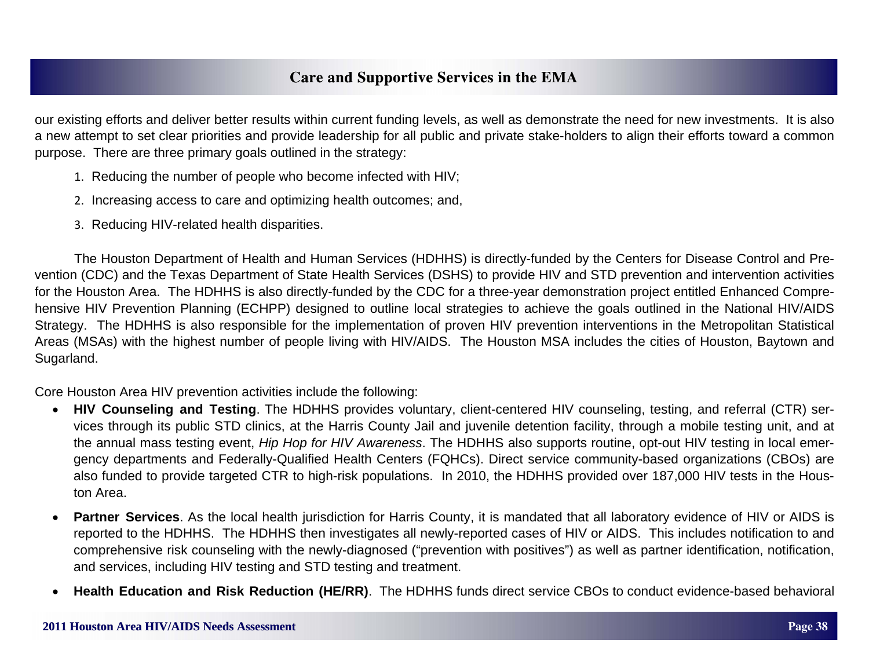our existing efforts and deliver better results within current funding levels, as well as demonstrate the need for new investments. It is also a new attempt to set clear priorities and provide leadership for all public and private stake-holders to align their efforts toward a common purpose. There are three primary goals outlined in the strategy:

- 1. Reducing the number of people who become infected with HIV;
- 2. Increasing access to care and optimizing health outcomes; and,
- 3. Reducing HIV-related health disparities.

 The Houston Department of Health and Human Services (HDHHS) is directly-funded by the Centers for Disease Control and Prevention (CDC) and the Texas Department of State Health Services (DSHS) to provide HIV and STD prevention and intervention activities for the Houston Area. The HDHHS is also directly-funded by the CDC for a three-year demonstration project entitled Enhanced Comprehensive HIV Prevention Planning (ECHPP) designed to outline local strategies to achieve the goals outlined in the National HIV/AIDS Strategy. The HDHHS is also responsible for the implementation of proven HIV prevention interventions in the Metropolitan Statistical Areas (MSAs) with the highest number of people living with HIV/AIDS. The Houston MSA includes the cities of Houston, Baytown and Sugarland.

Core Houston Area HIV prevention activities include the following:

- **HIV Counseling and Testing**. The HDHHS provides voluntary, client-centered HIV counseling, testing, and referral (CTR) services through its public STD clinics, at the Harris County Jail and juvenile detention facility, through a mobile testing unit, and at the annual mass testing event, *Hip Hop for HIV Awareness*. The HDHHS also supports routine, opt-out HIV testing in local emergency departments and Federally-Qualified Health Centers (FQHCs). Direct service community-based organizations (CBOs) are also funded to provide targeted CTR to high-risk populations. In 2010, the HDHHS provided over 187,000 HIV tests in the Houston Area.
- $\bullet$  **Partner Services**. As the local health jurisdiction for Harris County, it is mandated that all laboratory evidence of HIV or AIDS is reported to the HDHHS. The HDHHS then investigates all newly-reported cases of HIV or AIDS. This includes notification to and comprehensive risk counseling with the newly-diagnosed ("prevention with positives") as well as partner identification, notification, and services, including HIV testing and STD testing and treatment.
- $\bullet$ **Health Education and Risk Reduction (HE/RR)**. The HDHHS funds direct service CBOs to conduct evidence-based behavioral